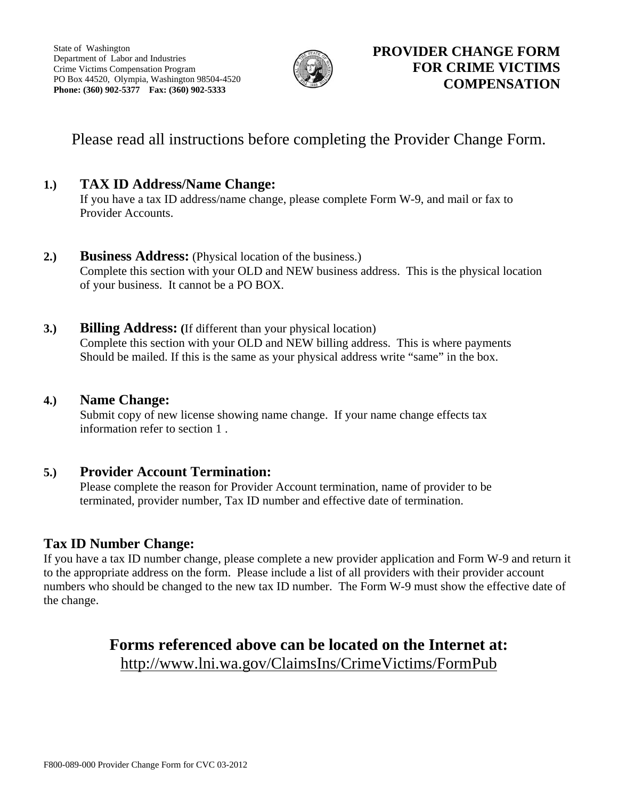

# Please read all instructions before completing the Provider Change Form.

## **1.) TAX ID Address/Name Change:**

 If you have a tax ID address/name change, please complete Form W-9, and mail or fax to Provider Accounts.

## **2.) Business Address:** (Physical location of the business.) Complete this section with your OLD and NEW business address. This is the physical location of your business. It cannot be a PO BOX.

**3.) Billing Address: (**If different than your physical location) Complete this section with your OLD and NEW billing address. This is where payments Should be mailed. If this is the same as your physical address write "same" in the box.

## **4.) Name Change:**

 Submit copy of new license showing name change. If your name change effects tax information refer to section 1 .

## **5.) Provider Account Termination:**

 Please complete the reason for Provider Account termination, name of provider to be terminated, provider number, Tax ID number and effective date of termination.

## **Tax ID Number Change:**

If you have a tax ID number change, please complete a new provider application and Form W-9 and return it to the appropriate address on the form. Please include a list of all providers with their provider account numbers who should be changed to the new tax ID number. The Form W-9 must show the effective date of the change.

# **Forms referenced above can be located on the Internet at:**  http://www.lni.wa.gov/ClaimsIns/CrimeVictims/FormPub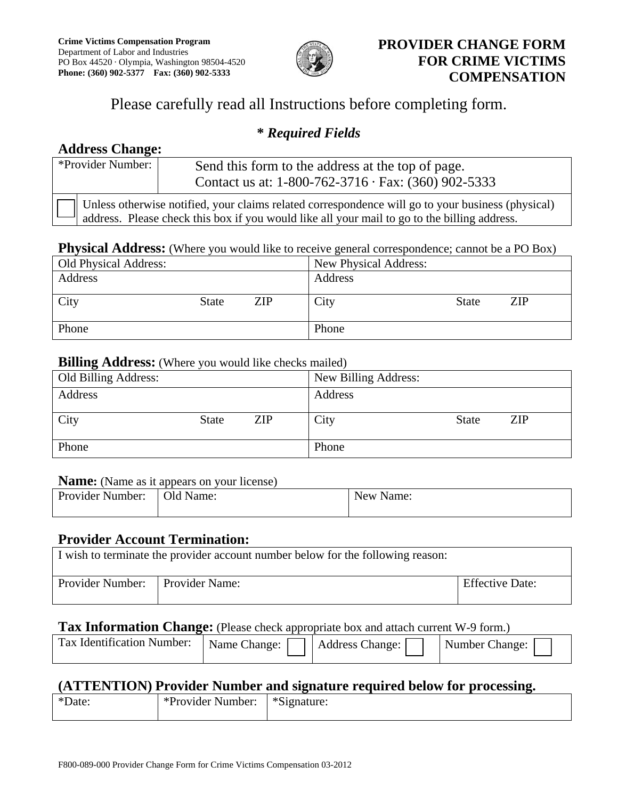

# **PROVIDER CHANGE FORM FOR CRIME VICTIMS COMPENSATION**

# Please carefully read all Instructions before completing form.

## **\*** *Required Fields*

# **Address Change:**

| *Provider Number:                                                                                                                                                                                 |  | Send this form to the address at the top of page.<br>Contact us at: $1-800-762-3716 \cdot \text{Fax: } (360) 902-5333$ |
|---------------------------------------------------------------------------------------------------------------------------------------------------------------------------------------------------|--|------------------------------------------------------------------------------------------------------------------------|
| Unless otherwise notified, your claims related correspondence will go to your business (physical)<br>address. Please check this box if you would like all your mail to go to the billing address. |  |                                                                                                                        |

### **Physical Address:** (Where you would like to receive general correspondence; cannot be a PO Box)

| Old Physical Address: |              |            | New Physical Address: |              |     |  |
|-----------------------|--------------|------------|-----------------------|--------------|-----|--|
| Address               |              |            | Address               |              |     |  |
|                       |              |            |                       |              |     |  |
| City                  | <b>State</b> | <b>ZIP</b> | City                  | <b>State</b> | ZIP |  |
|                       |              |            |                       |              |     |  |
| Phone                 |              |            | Phone                 |              |     |  |

## **Billing Address:** (Where you would like checks mailed)

| $\overline{\phantom{a}}$<br>Old Billing Address: |              |            | New Billing Address: |              |            |
|--------------------------------------------------|--------------|------------|----------------------|--------------|------------|
| Address                                          |              |            | Address              |              |            |
| City                                             | <b>State</b> | <b>ZIP</b> | City                 | <b>State</b> | <b>ZIP</b> |
| Phone                                            |              |            | Phone                |              |            |

#### **Name:** (Name as it appears on your license)

| <b>Provider Number:</b> | Old Name: | New Name: |
|-------------------------|-----------|-----------|
|                         |           |           |

## **Provider Account Termination:**

| I wish to terminate the provider account number below for the following reason: |  |                        |  |  |  |
|---------------------------------------------------------------------------------|--|------------------------|--|--|--|
| Provider Number: Provider Name:                                                 |  | <b>Effective Date:</b> |  |  |  |

## **Tax Information Change:** (Please check appropriate box and attach current W-9 form.)

| Tax Identification Number:   Name Change: | <b>Address Change:</b> | Number Change: |
|-------------------------------------------|------------------------|----------------|
|                                           |                        |                |

## **(ATTENTION) Provider Number and signature required below for processing.**

| $*\Gamma$<br>Jate: | *Provider<br>Number: | *Signature: |  |
|--------------------|----------------------|-------------|--|
|                    |                      |             |  |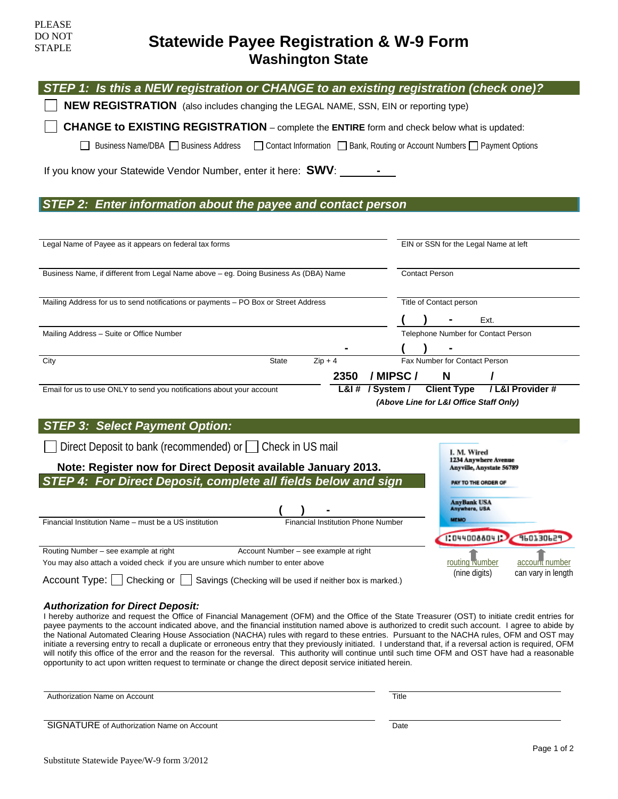# **Statewide Payee Registration & W-9 Form Washington State**

| STEP 1: Is this a NEW registration or CHANGE to an existing registration (check one)?                                                                                                                         |                                                                            |  |  |  |
|---------------------------------------------------------------------------------------------------------------------------------------------------------------------------------------------------------------|----------------------------------------------------------------------------|--|--|--|
| <b>NEW REGISTRATION</b> (also includes changing the LEGAL NAME, SSN, EIN or reporting type)                                                                                                                   |                                                                            |  |  |  |
| <b>CHANGE to EXISTING REGISTRATION</b> – complete the ENTIRE form and check below what is updated:                                                                                                            |                                                                            |  |  |  |
| Business Name/DBA Business Address                                                                                                                                                                            | □ Contact Information □ Bank, Routing or Account Numbers □ Payment Options |  |  |  |
| If you know your Statewide Vendor Number, enter it here: SWV:                                                                                                                                                 |                                                                            |  |  |  |
| STEP 2: Enter information about the payee and contact person                                                                                                                                                  |                                                                            |  |  |  |
|                                                                                                                                                                                                               |                                                                            |  |  |  |
| Legal Name of Payee as it appears on federal tax forms                                                                                                                                                        | EIN or SSN for the Legal Name at left                                      |  |  |  |
| Business Name, if different from Legal Name above - eg. Doing Business As (DBA) Name                                                                                                                          | <b>Contact Person</b>                                                      |  |  |  |
|                                                                                                                                                                                                               |                                                                            |  |  |  |
| Mailing Address for us to send notifications or payments - PO Box or Street Address                                                                                                                           | Title of Contact person                                                    |  |  |  |
|                                                                                                                                                                                                               | Ext.                                                                       |  |  |  |
| Mailing Address - Suite or Office Number                                                                                                                                                                      | Telephone Number for Contact Person                                        |  |  |  |
| $Zip + 4$<br><b>State</b><br>City                                                                                                                                                                             | Fax Number for Contact Person                                              |  |  |  |
| 2350                                                                                                                                                                                                          | / MIPSC/<br>N                                                              |  |  |  |
| Email for us to use ONLY to send you notifications about your account                                                                                                                                         | L&I# / System /<br><b>Client Type</b><br>/ L&I Provider #                  |  |  |  |
|                                                                                                                                                                                                               | (Above Line for L&I Office Staff Only)                                     |  |  |  |
| <b>STEP 3: Select Payment Option:</b>                                                                                                                                                                         |                                                                            |  |  |  |
| Direct Deposit to bank (recommended) or Check in US mail                                                                                                                                                      | I. M. Wired                                                                |  |  |  |
| Note: Register now for Direct Deposit available January 2013.                                                                                                                                                 | 1234 Anywhere Avenue<br>Anyville, Anystate 56789                           |  |  |  |
| STEP 4: For Direct Deposit, complete all fields below and sign                                                                                                                                                | PAY TO THE ORDER OF                                                        |  |  |  |
|                                                                                                                                                                                                               | <b>AnyBank USA</b><br>Anywhere, USA                                        |  |  |  |
| <b>Financial Institution Phone Number</b><br>Financial Institution Name - must be a US institution                                                                                                            | <b>MEMO</b>                                                                |  |  |  |
|                                                                                                                                                                                                               | <b>370730PS</b><br>1:044008804                                             |  |  |  |
| Routing Number - see example at right<br>Account Number - see example at right<br>routing <u>Number</u><br>account number<br>You may also attach a voided check if you are unsure which number to enter above |                                                                            |  |  |  |
| Account Type: $\Box$ Checking or $\Box$<br>Savings (Checking will be used if neither box is marked.)                                                                                                          | (nine digits)<br>can vary in length                                        |  |  |  |

#### *Authorization for Direct Deposit:*

I hereby authorize and request the Office of Financial Management (OFM) and the Office of the State Treasurer (OST) to initiate credit entries for payee payments to the account indicated above, and the financial institution named above is authorized to credit such account. I agree to abide by the National Automated Clearing House Association (NACHA) rules with regard to these entries. Pursuant to the NACHA rules, OFM and OST may initiate a reversing entry to recall a duplicate or erroneous entry that they previously initiated. I understand that, if a reversal action is required, OFM will notify this office of the error and the reason for the reversal. This authority will continue until such time OFM and OST have had a reasonable opportunity to act upon written request to terminate or change the direct deposit service initiated herein.

Authorization Name on Account **Title** 

PLEASE DO NOT STAPLE

SIGNATURE of Authorization Name on Account **Date** Date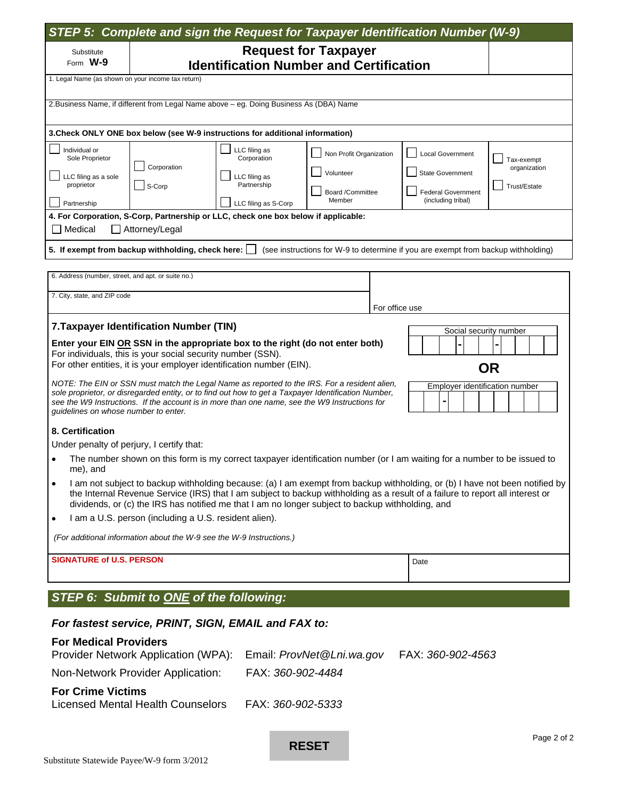|                                                                                                                                                                                                                                              | STEP 5: Complete and sign the Request for Taxpayer Identification Number (W-9)                                                                                                                                                                                                                                                                                   |                              |                         |                |                                                                                   |              |
|----------------------------------------------------------------------------------------------------------------------------------------------------------------------------------------------------------------------------------------------|------------------------------------------------------------------------------------------------------------------------------------------------------------------------------------------------------------------------------------------------------------------------------------------------------------------------------------------------------------------|------------------------------|-------------------------|----------------|-----------------------------------------------------------------------------------|--------------|
| Substitute                                                                                                                                                                                                                                   |                                                                                                                                                                                                                                                                                                                                                                  | <b>Request for Taxpayer</b>  |                         |                |                                                                                   |              |
|                                                                                                                                                                                                                                              | Form W-9<br><b>Identification Number and Certification</b>                                                                                                                                                                                                                                                                                                       |                              |                         |                |                                                                                   |              |
|                                                                                                                                                                                                                                              | 1. Legal Name (as shown on your income tax return)                                                                                                                                                                                                                                                                                                               |                              |                         |                |                                                                                   |              |
|                                                                                                                                                                                                                                              | 2. Business Name, if different from Legal Name above - eg. Doing Business As (DBA) Name                                                                                                                                                                                                                                                                          |                              |                         |                |                                                                                   |              |
|                                                                                                                                                                                                                                              | 3. Check ONLY ONE box below (see W-9 instructions for additional information)                                                                                                                                                                                                                                                                                    |                              |                         |                |                                                                                   |              |
| Individual or<br>Sole Proprietor                                                                                                                                                                                                             |                                                                                                                                                                                                                                                                                                                                                                  | LLC filing as<br>Corporation | Non Profit Organization |                | <b>Local Government</b>                                                           | Tax-exempt   |
| LLC filing as a sole                                                                                                                                                                                                                         | Corporation                                                                                                                                                                                                                                                                                                                                                      | LLC filing as                | Volunteer               |                | <b>State Government</b>                                                           | organization |
| proprietor                                                                                                                                                                                                                                   | S-Corp                                                                                                                                                                                                                                                                                                                                                           | Partnership                  | Board /Committee        |                | <b>Federal Government</b>                                                         | Trust/Estate |
| Partnership                                                                                                                                                                                                                                  |                                                                                                                                                                                                                                                                                                                                                                  | LLC filing as S-Corp         | Member                  |                | (including tribal)                                                                |              |
| Medical                                                                                                                                                                                                                                      | 4. For Corporation, S-Corp, Partnership or LLC, check one box below if applicable:<br>Attorney/Legal                                                                                                                                                                                                                                                             |                              |                         |                |                                                                                   |              |
|                                                                                                                                                                                                                                              | 5. If exempt from backup withholding, check here: $\Box$                                                                                                                                                                                                                                                                                                         |                              |                         |                | (see instructions for W-9 to determine if you are exempt from backup withholding) |              |
|                                                                                                                                                                                                                                              | 6. Address (number, street, and apt. or suite no.)                                                                                                                                                                                                                                                                                                               |                              |                         |                |                                                                                   |              |
| 7. City, state, and ZIP code                                                                                                                                                                                                                 |                                                                                                                                                                                                                                                                                                                                                                  |                              |                         |                |                                                                                   |              |
|                                                                                                                                                                                                                                              |                                                                                                                                                                                                                                                                                                                                                                  |                              |                         | For office use |                                                                                   |              |
|                                                                                                                                                                                                                                              | 7. Taxpayer Identification Number (TIN)                                                                                                                                                                                                                                                                                                                          |                              |                         |                | Social security number                                                            |              |
|                                                                                                                                                                                                                                              | Enter your EIN OR SSN in the appropriate box to the right (do not enter both)                                                                                                                                                                                                                                                                                    |                              |                         |                |                                                                                   |              |
|                                                                                                                                                                                                                                              | For individuals, this is your social security number (SSN).<br>For other entities, it is your employer identification number (EIN).                                                                                                                                                                                                                              |                              |                         |                |                                                                                   | <b>OR</b>    |
|                                                                                                                                                                                                                                              | NOTE: The EIN or SSN must match the Legal Name as reported to the IRS. For a resident alien,                                                                                                                                                                                                                                                                     |                              |                         |                | Employer identification number                                                    |              |
| sole proprietor, or disregarded entity, or to find out how to get a Taxpayer Identification Number,<br>see the W9 Instructions. If the account is in more than one name, see the W9 Instructions for<br>guidelines on whose number to enter. |                                                                                                                                                                                                                                                                                                                                                                  |                              |                         |                |                                                                                   |              |
| 8. Certification                                                                                                                                                                                                                             |                                                                                                                                                                                                                                                                                                                                                                  |                              |                         |                |                                                                                   |              |
|                                                                                                                                                                                                                                              | Under penalty of perjury, I certify that:                                                                                                                                                                                                                                                                                                                        |                              |                         |                |                                                                                   |              |
| me), and                                                                                                                                                                                                                                     | The number shown on this form is my correct taxpayer identification number (or I am waiting for a number to be issued to                                                                                                                                                                                                                                         |                              |                         |                |                                                                                   |              |
| ٠                                                                                                                                                                                                                                            | I am not subject to backup withholding because: (a) I am exempt from backup withholding, or (b) I have not been notified by<br>the Internal Revenue Service (IRS) that I am subject to backup withholding as a result of a failure to report all interest or<br>dividends, or (c) the IRS has notified me that I am no longer subject to backup withholding, and |                              |                         |                |                                                                                   |              |
| ٠                                                                                                                                                                                                                                            | I am a U.S. person (including a U.S. resident alien).                                                                                                                                                                                                                                                                                                            |                              |                         |                |                                                                                   |              |
|                                                                                                                                                                                                                                              | (For additional information about the W-9 see the W-9 Instructions.)                                                                                                                                                                                                                                                                                             |                              |                         |                |                                                                                   |              |
|                                                                                                                                                                                                                                              | <b>SIGNATURE of U.S. PERSON</b>                                                                                                                                                                                                                                                                                                                                  |                              |                         |                | Date                                                                              |              |
|                                                                                                                                                                                                                                              | STEP 6: Submit to ONE of the following:                                                                                                                                                                                                                                                                                                                          |                              |                         |                |                                                                                   |              |
|                                                                                                                                                                                                                                              | For fastest service, PRINT, SIGN, EMAIL and FAX to:                                                                                                                                                                                                                                                                                                              |                              |                         |                |                                                                                   |              |
|                                                                                                                                                                                                                                              | <b>For Medical Providers</b><br>Provider Network Application (WPA):                                                                                                                                                                                                                                                                                              | Email: ProvNet@Lni.wa.gov    |                         |                | FAX: 360-902-4563                                                                 |              |
|                                                                                                                                                                                                                                              | FAX: 360-902-4484<br>Non-Network Provider Application:                                                                                                                                                                                                                                                                                                           |                              |                         |                |                                                                                   |              |
| <b>For Crime Victims</b>                                                                                                                                                                                                                     |                                                                                                                                                                                                                                                                                                                                                                  |                              |                         |                |                                                                                   |              |

| Licensed Mental Health Counselors | FAX: 360-902-5333 |
|-----------------------------------|-------------------|
|-----------------------------------|-------------------|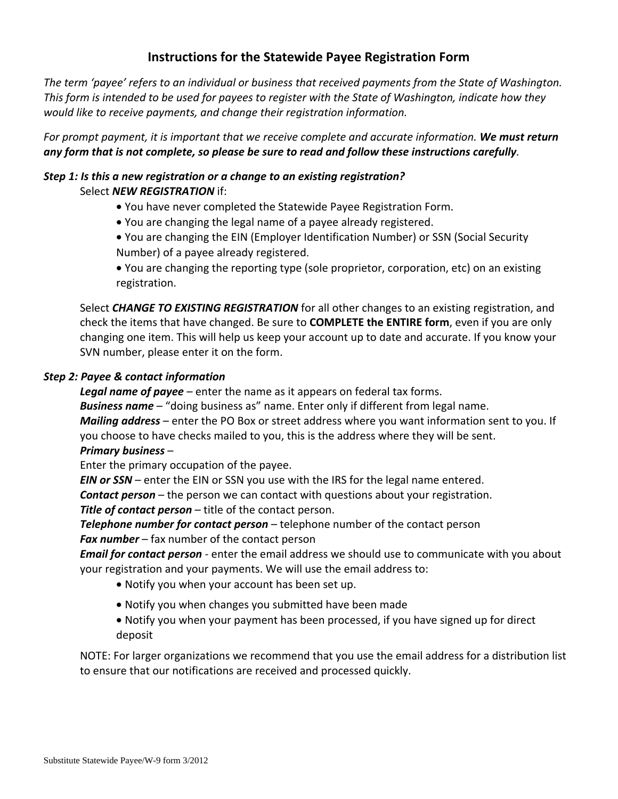## **Instructions for the Statewide Payee Registration Form**

*The term 'payee' refers to an individual or business that received payments from the State of Washington. This form is intended to be used for payees to register with the State of Washington, indicate how they would like to receive payments, and change their registration information.* 

*For prompt payment, it is important that we receive complete and accurate information. We must return any form that is not complete, so please be sure to read and follow these instructions carefully.* 

### *Step 1: Is this a new registration or a change to an existing registration?*  Select *NEW REGISTRATION* if:

- You have never completed the Statewide Payee Registration Form.
- You are changing the legal name of a payee already registered.
- You are changing the EIN (Employer Identification Number) or SSN (Social Security Number) of a payee already registered.
- You are changing the reporting type (sole proprietor, corporation, etc) on an existing registration.

Select *CHANGE TO EXISTING REGISTRATION* for all other changes to an existing registration, and check the items that have changed. Be sure to **COMPLETE the ENTIRE form**, even if you are only changing one item. This will help us keep your account up to date and accurate. If you know your SVN number, please enter it on the form.

### *Step 2: Payee & contact information*

*Legal name of payee* – enter the name as it appears on federal tax forms.

*Business name* – "doing business as" name. Enter only if different from legal name.

*Mailing address* – enter the PO Box or street address where you want information sent to you. If you choose to have checks mailed to you, this is the address where they will be sent.

#### *Primary business* –

Enter the primary occupation of the payee.

*EIN or SSN* – enter the EIN or SSN you use with the IRS for the legal name entered.

*Contact person* – the person we can contact with questions about your registration.

**Title of contact person** – title of the contact person.

*Telephone number for contact person* – telephone number of the contact person

*Fax number* – fax number of the contact person

*Email for contact person* - enter the email address we should use to communicate with you about your registration and your payments. We will use the email address to:

- Notify you when your account has been set up.
- Notify you when changes you submitted have been made
- Notify you when your payment has been processed, if you have signed up for direct deposit

NOTE: For larger organizations we recommend that you use the email address for a distribution list to ensure that our notifications are received and processed quickly.